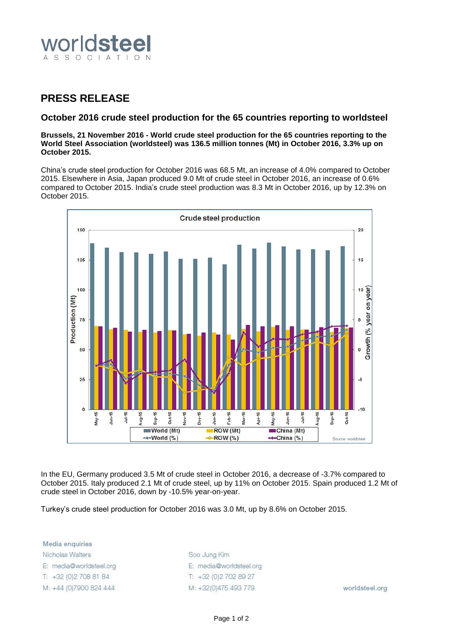

## **PRESS RELEASE**

## **October 2016 crude steel production for the 65 countries reporting to worldsteel**

**Brussels, 21 November 2016 - World crude steel production for the 65 countries reporting to the World Steel Association (worldsteel) was 136.5 million tonnes (Mt) in October 2016, 3.3% up on October 2015.**

China's crude steel production for October 2016 was 68.5 Mt, an increase of 4.0% compared to October 2015. Elsewhere in Asia, Japan produced 9.0 Mt of crude steel in October 2016, an increase of 0.6% compared to October 2015. India's crude steel production was 8.3 Mt in October 2016, up by 12.3% on October 2015.



In the EU, Germany produced 3.5 Mt of crude steel in October 2016, a decrease of -3.7% compared to October 2015. Italy produced 2.1 Mt of crude steel, up by 11% on October 2015. Spain produced 1.2 Mt of crude steel in October 2016, down by -10.5% year-on-year.

Turkey's crude steel production for October 2016 was 3.0 Mt, up by 8.6% on October 2015.

Media enquiries Nicholas Walters E: media@worldsteel.org T: +32 (0) 2 708 81 84 M: +44 (0)7900 824 444

Soo Jung Kim E: media@worldsteel.org T: +32 (0) 2 70 2 89 27 M: +32(0)475 493 779

worldsteel.org